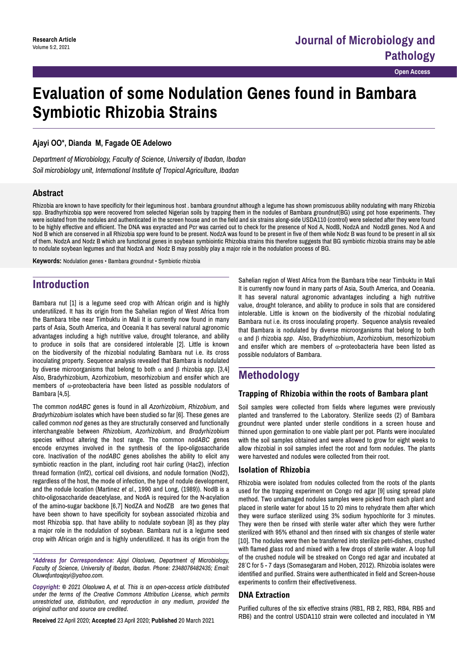# **Evaluation of some Nodulation Genes found in Bambara Symbiotic Rhizobia Strains**

### **Ajayi OO\*, Dianda M, Fagade OE Adelowo**

*Department of Microbiology, Faculty of Science, University of Ibadan, Ibadan Soil microbiology unit, International Institute of Tropical Agriculture, Ibadan*

### **Abstract**

Rhizobia are known to have specificity for their leguminous host . bambara groundnut although a legume has shown promiscuous ability nodulating with many Rhizobia spp. Bradhyrhizobia spp were recovered from selected Nigerian soils by trapping them in the nodules of Bambara groundnut(BG) using pot hose experiments. They were isolated from the nodules and authenticated in the screen house and on the field and six strains along-side USDA110 (control) were selected after they were found to be highly effective and efficient. The DNA was exyracted and Pcr was carried out to check for the presence of Nod A, NodB, NodzA and NodzB genes. Nod A and Nod B which are conserved in all Rhizobia spp were found to be present. NodzA was found to be present in five of them while Nodz B was found to be present in all six of them. NodzA and Nodz B which are functional genes in soybean symbiointic Rhizobia strains this therefore suggests that BG symbiotic rhizobia strains may be able to nodulate soybean legumes and that NodzA and Nodz B may possibly play a major role in the nodulation process of BG.

**Keywords:** Nodulation genes • Bambara groundnut • Symbiotic rhizobia

# **Introduction**

Bambara nut [1] is a legume seed crop with African origin and is highly underutilized. It has its origin from the Sahelian region of West Africa from the Bambara tribe near Timbuktu in Mali It is currently now found in many parts of Asia, South America, and Oceania It has several natural agronomic advantages including a high nutritive value, drought tolerance, and ability to produce in soils that are considered intolerable [2]. Little is known on the biodiversity of the rhizobial nodulating Bambara nut i.e. its cross inoculating property. Sequence analysis revealed that Bambara is nodulated by diverse microorganisms that belong to both α and β rhizobia *spp*. [3,4] Also, Bradyrhizobium, Azorhizobium, mesorhizobium and ensifer which are members of  $\alpha$ -proteobacteria have been listed as possible nodulators of Bambara [4,5].

The common *nodABC* genes is found in all *Azorhizobium*, *Rhizobium*, and *Bradyrhizobium* isolates which have been studied so far [6]. These genes are called common *nod* genes as they are structurally conserved and functionally interchangeable between *Rhizobium*, *Azorhizobium*, and *Bradyrhizobium*  species without altering the host range. The common *nodABC* genes encode enzymes involved in the synthesis of the lipo-oligosaccharide core. Inactivation of the *nodABC* genes abolishes the ability to elicit any symbiotic reaction in the plant, including root hair curling (Hac2), infection thread formation (Inf2), cortical cell divisions, and nodule formation (Nod2), regardless of the host, the mode of infection, the type of nodule development, and the nodule location (Martinez *et al*., 1990 and Long, (1989)). NodB is a chito-oligosaccharide deacetylase, and NodA is required for the N-acylation of the amino-sugar backbone [6,7] NodZA and NodZB are two genes that have been shown to have specificity for soybean associated rhizobia and most Rhizobia spp. that have ability to nodulate soybean [8] as they play a major role in the nodulation of soybean. Bambara nut is a legume seed crop with African origin and is highly underutilized. It has its origin from the

*\*Address for Correspondence: Ajayi Olaoluwa, Department of Microbiology, Faculty of Science, University of Ibadan, Ibadan. Phone: 2348076482435; Email: Oluwafuntoajayi@yahoo.com.*

*Copyright: © 2021 Olaoluwa A, et al. This is an open-access article distributed under the terms of the Creative Commons Attribution License, which permits unrestricted use, distribution, and reproduction in any medium, provided the original author and source are credited.*

**Received** 22 April 2020; **Accepted** 23 April 2020; **Published** 20 March 2021

Sahelian region of West Africa from the Bambara tribe near Timbuktu in Mali It is currently now found in many parts of Asia, South America, and Oceania. It has several natural agronomic advantages including a high nutritive value, drought tolerance, and ability to produce in soils that are considered intolerable. Little is known on the biodiversity of the rhizobial nodulating Bambara nut i.e. its cross inoculating property. Sequence analysis revealed that Bambara is nodulated by diverse microorganisms that belong to both α and β rhizobia *spp*. Also, Bradyrhizobium, Azorhizobium, mesorhizobium and ensifer which are members of  $\alpha$ -proteobacteria have been listed as possible nodulators of Bambara.

# **Methodology**

### **Trapping of Rhizobia within the roots of Bambara plant**

Soil samples were collected from fields where legumes were previously planted and transferred to the Laboratory. Sterilize seeds (2) of Bambara groundnut were planted under sterile conditions in a screen house and thinned upon germination to one viable plant per pot. Plants were inoculated with the soil samples obtained and were allowed to grow for eight weeks to allow rhizobial in soil samples infect the root and form nodules. The plants were harvested and nodules were collected from their root.

### **Isolation of Rhizobia**

Rhizobia were isolated from nodules collected from the roots of the plants used for the trapping experiment on Congo red agar [9] using spread plate method. Two undamaged nodules samples were picked from each plant and placed in sterile water for about 15 to 20 mins to rehydrate them after which they were surface sterilized using 3% sodium hypochlorite for 3 minutes. They were then be rinsed with sterile water after which they were further sterilized with 95% ethanol and then rinsed with six changes of sterile water [10]. The nodules were then be transferred into sterilize petri-dishes, crushed with flamed glass rod and mixed with a few drops of sterile water. A loop full of the crushed nodule will be streaked on Congo red agar and incubated at 28° C for 5 - 7 days (Somasegaram and Hoben, 2012). Rhizobia isolates were identified and purified. Strains were authenthicated in field and Screen-house experiments to confirm their effectivetiveness.

### **DNA Extraction**

Purified cultures of the six effective strains (RB1, RB 2, RB3, RB4, RB5 and RB6) and the control USDA110 strain were collected and inoculated in YM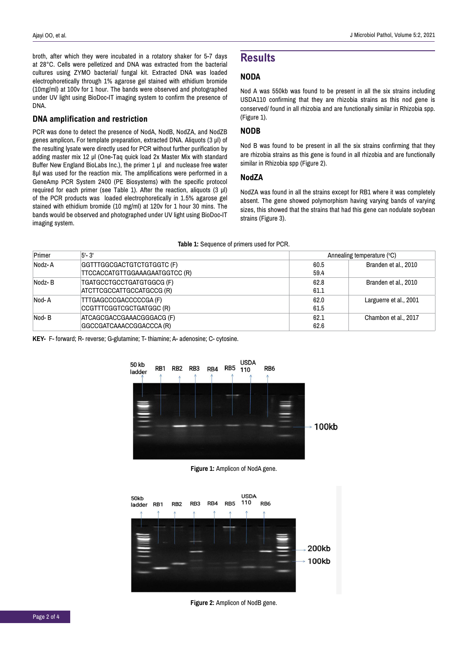broth, after which they were incubated in a rotatory shaker for 5-7 days at 28°C. Cells were pelletized and DNA was extracted from the bacterial cultures using ZYMO bacterial/ fungal kit. Extracted DNA was loaded electrophoretically through 1% agarose gel stained with ethidium bromide (10mg/ml) at 100v for 1 hour. The bands were observed and photographed under UV light using BioDoc-IT imaging system to confirm the presence of DNA.

#### **DNA amplification and restriction**

PCR was done to detect the presence of NodA, NodB, NodZA, and NodZB genes amplicon**.** For template preparation, extracted DNA. Aliquots (3 µl) of the resulting lysate were directly used for PCR without further purification by adding master mix 12 µl (One-Taq quick load 2x Master Mix with standard Buffer New England BioLabs Inc.), the primer 1 µl and nuclease free water 8µl was used for the reaction mix. The amplifications were performed in a GeneAmp PCR System 2400 (PE Biosystems) with the specific protocol required for each primer (see Table 1). After the reaction, aliquots  $(3 \mu l)$ of the PCR products was loaded electrophoretically in 1.5% agarose gel stained with ethidium bromide (10 mg/ml) at 120v for 1 hour 30 mins. The bands would be observed and photographed under UV light using BioDoc-IT imaging system.

### **Results**

### **NODA**

Nod A was 550kb was found to be present in all the six strains including USDA110 confirming that they are rhizobia strains as this nod gene is conserved/ found in all rhizobia and are functionally similar in Rhizobia spp. (Figure 1).

### **NODB**

Nod B was found to be present in all the six strains confirming that they are rhizobia strains as this gene is found in all rhizobia and are functionally similar in Rhizobia spp (Figure 2).

#### **NodZA**

NodZA was found in all the strains except for RB1 where it was completely absent. The gene showed polymorphism having varying bands of varying sizes, this showed that the strains that had this gene can nodulate soybean strains (Figure 3).

| <b>Table 1:</b> Ocgabilloc of primote ascartor FOR. |                                                              |                            |                        |
|-----------------------------------------------------|--------------------------------------------------------------|----------------------------|------------------------|
| Primer                                              | $5 - 3'$                                                     | Annealing temperature (°C) |                        |
| Nodz-A                                              | GGTTTGGCGACTGTCTGTGGTC (F)<br>TTCCACCATGTTGGAAAGAATGGTCC (R) | 60.5<br>59.4               | Branden et al., 2010   |
| Nodz-B                                              | TGATGCCTGCCTGATGTGGCG (F)<br>ATCTTCGCCATTGCCATGCCG (R)       | 62.8<br>61.1               | Branden et al., 2010   |
| Nod-A                                               | TTTGAGCCCGACCCCCGA (F)<br>CCGTTTCGGTCGCTGATGGC (R)           | 62.0<br>61.5               | Larguerre et al., 2001 |
| Nod-B                                               | ATCAGCGACCGAAACGGGACG (F)<br>GGCCGATCAAACCGGACCCA (R)        | 62.1<br>62.6               | Chambon et al., 2017   |

**Table 1:** Sequence of primers used for PCR.

**KEY-** F- forward; R- reverse; G-glutamine; T- thiamine; A- adenosine; C- cytosine.



**Figure 1:** Amplicon of NodA gene.



**Figure 2: Amplicon of NodB gene.**